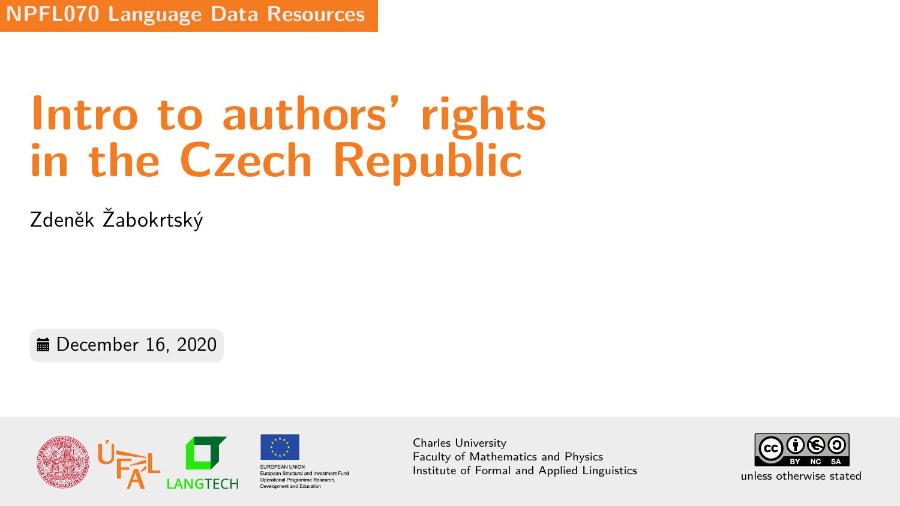**NPFL070 Language Data Resources**

# **Intro to authors' rights in the Czech Republic**

Zdeněk Žabokrtský

**■** December 16, 2020



Charles University Faculty of Mathematics and Physics Institute of Formal and Applied Linguistics unless otherwise stated

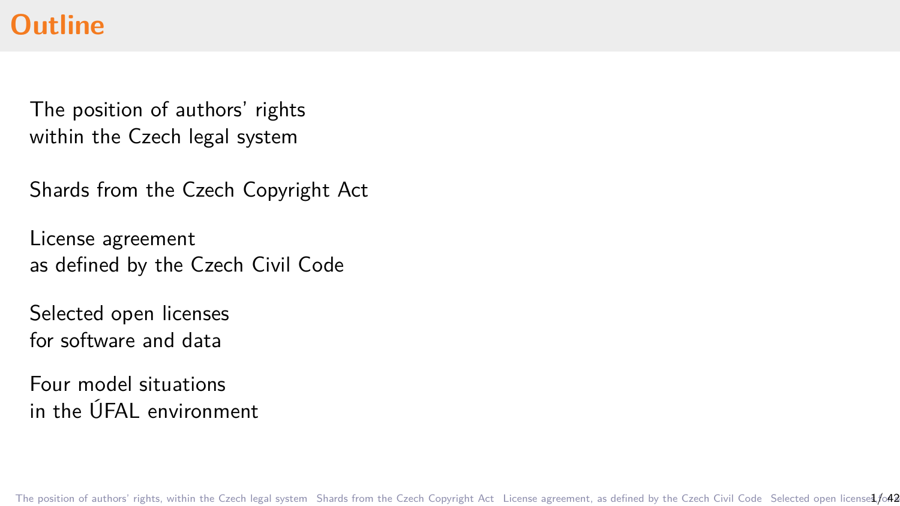### **Outline**

[The position of authors' rights](#page-3-0) [within the Czech legal system](#page-3-0)

[Shards from the Czech Copyright Act](#page-9-0)

[License agreement](#page-18-0) [as defined by the Czech Civil Code](#page-18-0)

[Selected open licenses](#page-24-0) [for software and data](#page-24-0)

[Four model situations](#page-40-0) [in the ÚFAL environment](#page-40-0)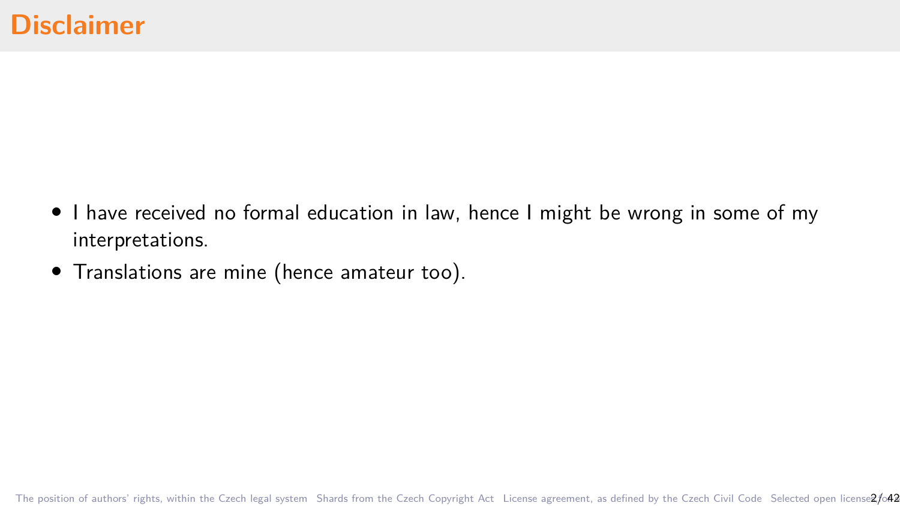- *•* I have received no formal education in law, hence I might be wrong in some of my interpretations.
- *•* Translations are mine (hence amateur too).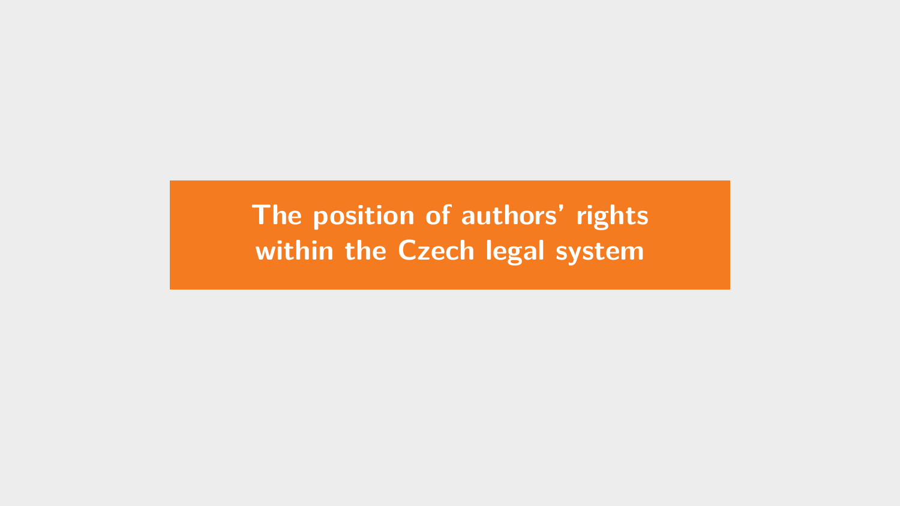<span id="page-3-0"></span>**[The position of authors' rights](#page-3-0) [within the Czech legal system](#page-3-0)**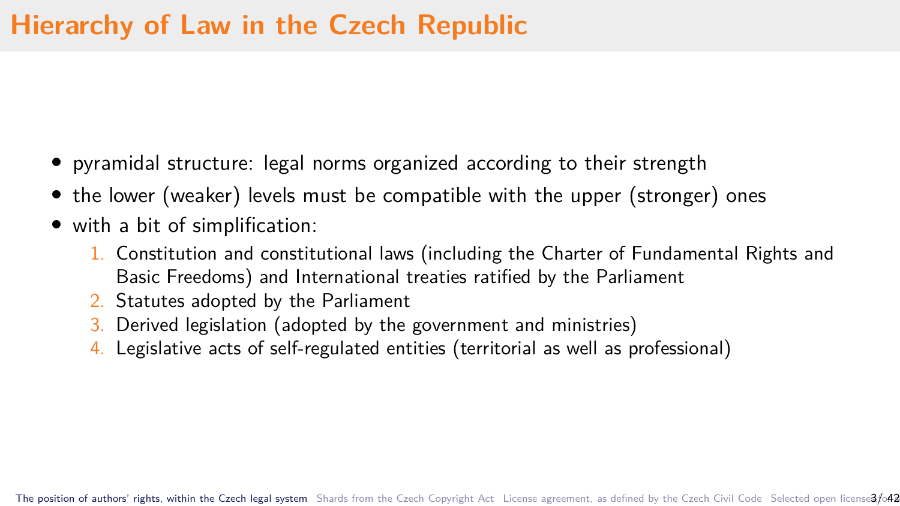- *•* pyramidal structure: legal norms organized according to their strength
- the lower (weaker) levels must be compatible with the upper (stronger) ones
- *•* with a bit of simplification:
	- 1. Constitution and constitutional laws (including the Charter of Fundamental Rights and Basic Freedoms) and International treaties ratified by the Parliament
	- 2. Statutes adopted by the Parliament
	- 3. Derived legislation (adopted by the government and ministries)
	- 4. Legislative acts of self-regulated entities (territorial as well as professional)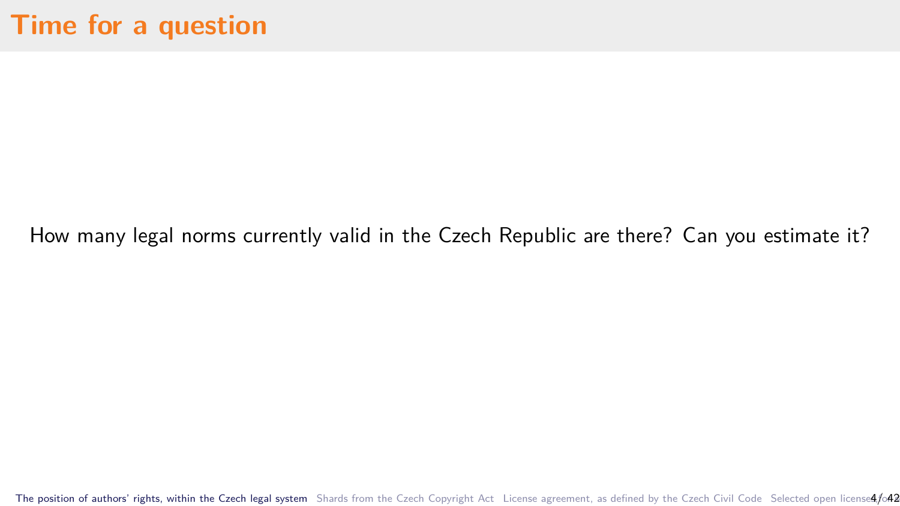How many legal norms currently valid in the Czech Republic are there? Can you estimate it?

[The position of authors' rights, within the Czech legal system](#page-3-0) [Shards from the Czech Copyright Act](#page-9-0) [License agreement, as defined by the Czech Civil Code](#page-18-0) Selected open license4/o42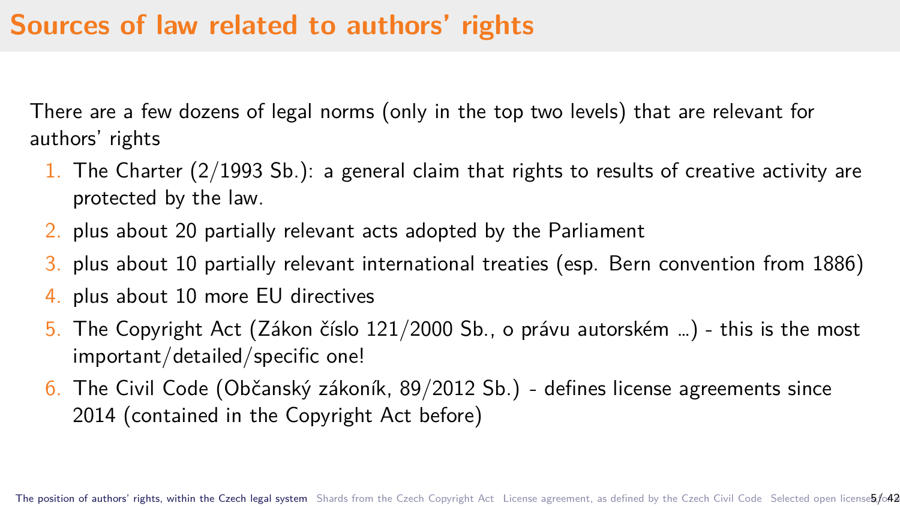## **Sources of law related to authors' rights**

There are a few dozens of legal norms (only in the top two levels) that are relevant for authors' rights

- 1. The Charter  $(2/1993 \text{ Sb.})$ : a general claim that rights to results of creative activity are protected by the law.
- 2. plus about 20 partially relevant acts adopted by the Parliament
- 3. plus about 10 partially relevant international treaties (esp. Bern convention from 1886)
- 4. plus about 10 more EU directives
- 5. The Copyright Act (Zákon číslo 121/2000 Sb., o právu autorském …) this is the most important/detailed/specific one!
- 6. The Civil Code (Občanský zákoník, 89/2012 Sb.) defines license agreements since 2014 (contained in the Copyright Act before)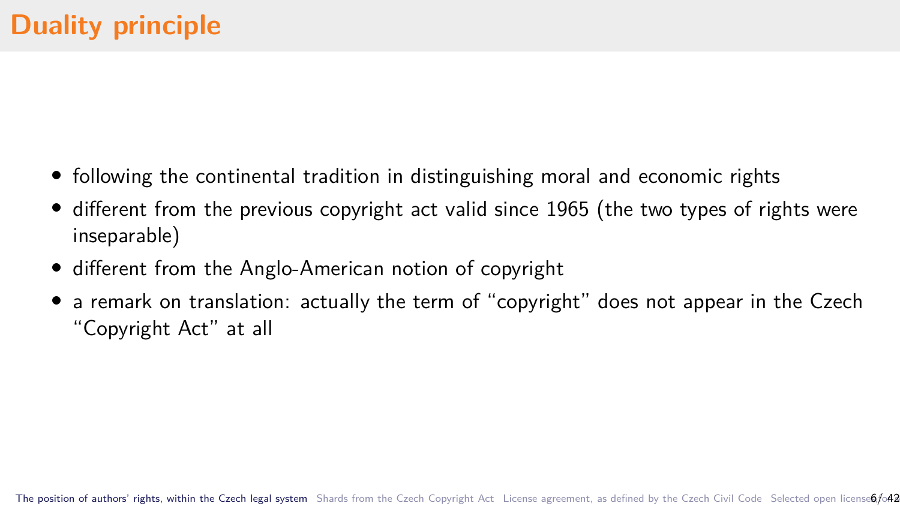- *•* following the continental tradition in distinguishing moral and economic rights
- different from the previous copyright act valid since 1965 (the two types of rights were inseparable)
- *•* different from the Anglo-American notion of copyright
- a remark on translation: actually the term of "copyright" does not appear in the Czech "Copyright Act" at all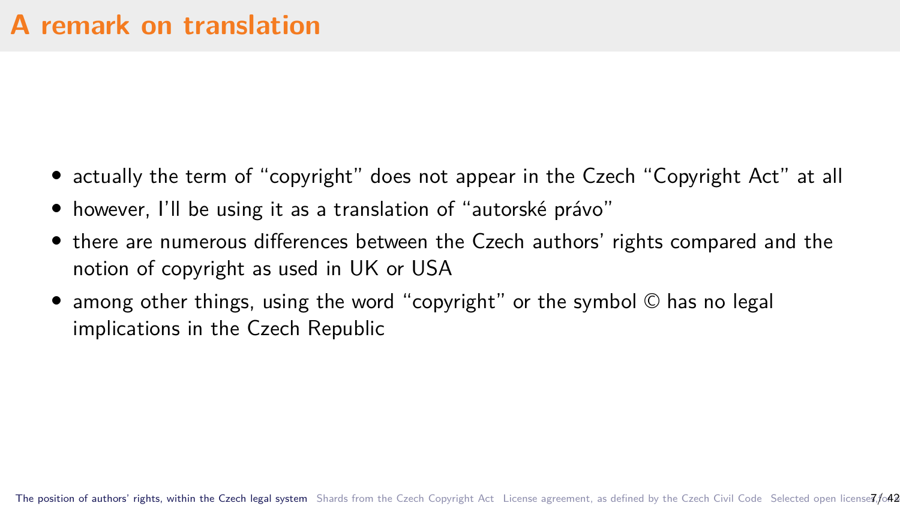- actually the term of "copyright" does not appear in the Czech "Copyright Act" at all
- however, I'll be using it as a translation of "autorské právo"
- *•* there are numerous differences between the Czech authors' rights compared and the notion of copyright as used in UK or USA
- among other things, using the word "copyright" or the symbol © has no legal implications in the Czech Republic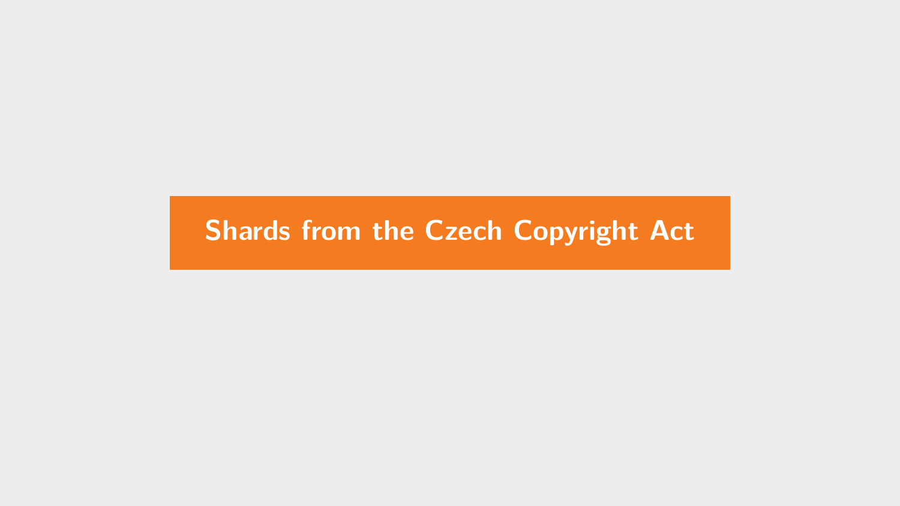### <span id="page-9-0"></span>**[Shards from the Czech Copyright Act](#page-9-0)**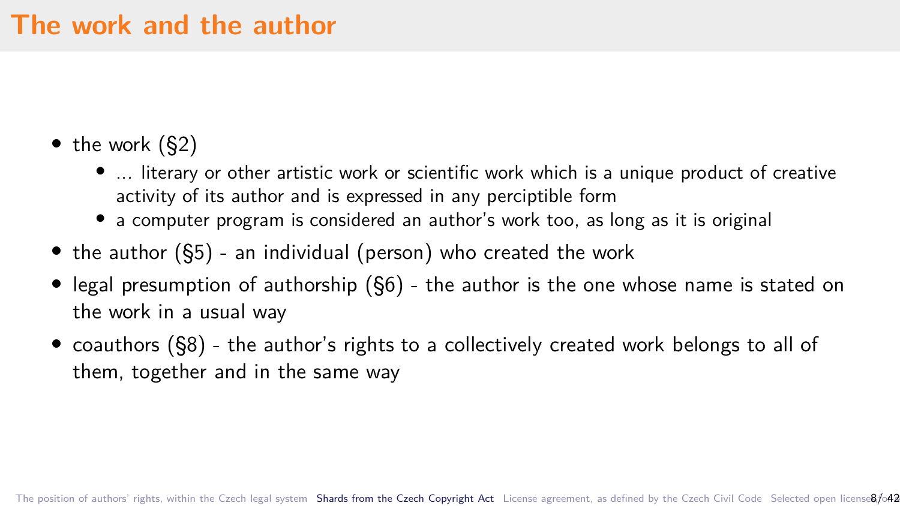### **The work and the author**

- *•* the work (§2)
	- *•* ... literary or other artistic work or scientific work which is a unique product of creative activity of its author and is expressed in any perciptible form
	- a computer program is considered an author's work too, as long as it is original
- *•* the author (§5) an individual (person) who created the work
- *•* legal presumption of authorship (§6) the author is the one whose name is stated on the work in a usual way
- *•* coauthors (§8) the author's rights to a collectively created work belongs to all of them, together and in the same way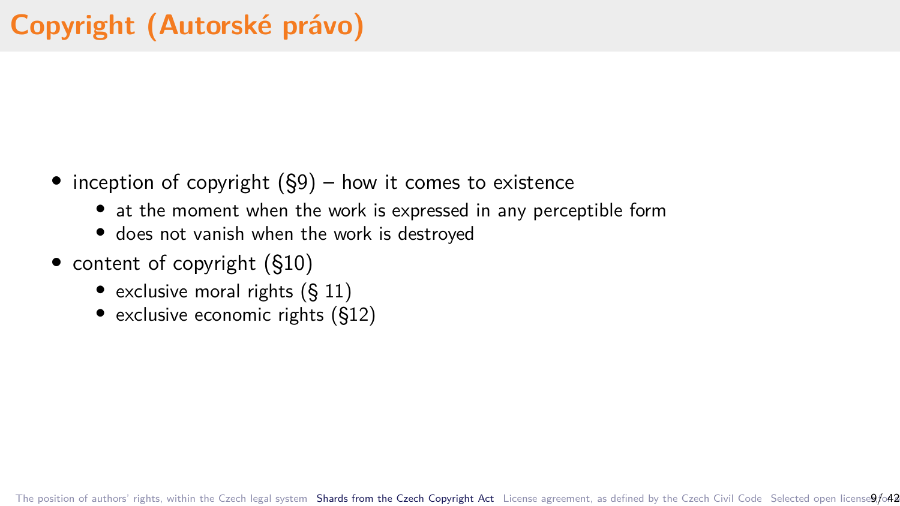- *•* inception of copyright (§9) how it comes to existence
	- *•* at the moment when the work is expressed in any perceptible form
	- *•* does not vanish when the work is destroyed
- content of copyright (§10)
	- exclusive moral rights (§ 11)
	- exclusive economic rights (§12)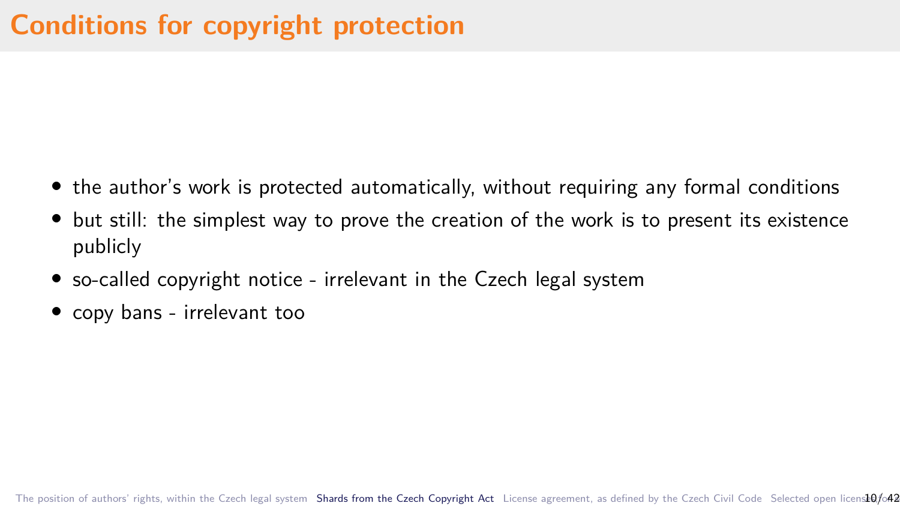- the author's work is protected automatically, without requiring any formal conditions
- but still: the simplest way to prove the creation of the work is to present its existence publicly
- so-called copyright notice irrelevant in the Czech legal system
- *•* copy bans irrelevant too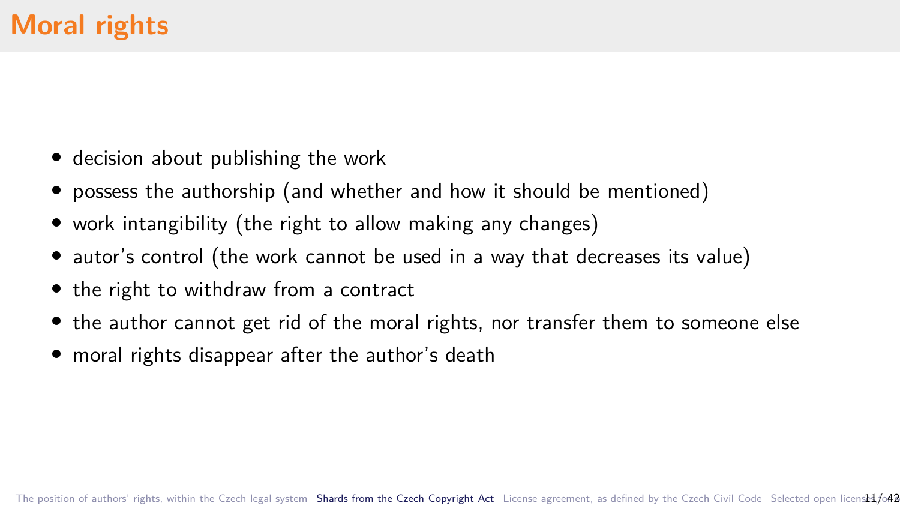- *•* decision about publishing the work
- *•* possess the authorship (and whether and how it should be mentioned)
- *•* work intangibility (the right to allow making any changes)
- autor's control (the work cannot be used in a way that decreases its value)
- *•* the right to withdraw from a contract
- *•* the author cannot get rid of the moral rights, nor transfer them to someone else
- *•* moral rights disappear after the author's death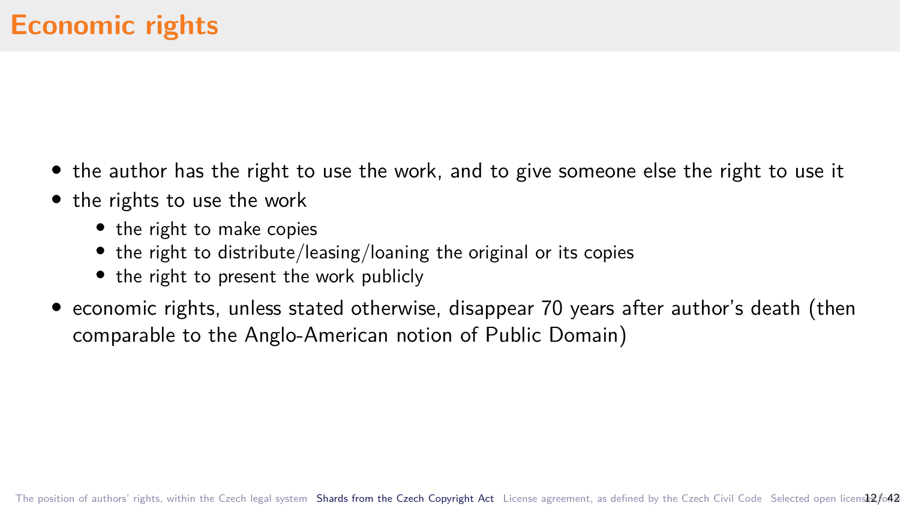- *•* the author has the right to use the work, and to give someone else the right to use it
- the rights to use the work
	- the right to make copies
	- the right to distribute/leasing/loaning the original or its copies
	- the right to present the work publicly
- *•* economic rights, unless stated otherwise, disappear 70 years after author's death (then comparable to the Anglo-American notion of Public Domain)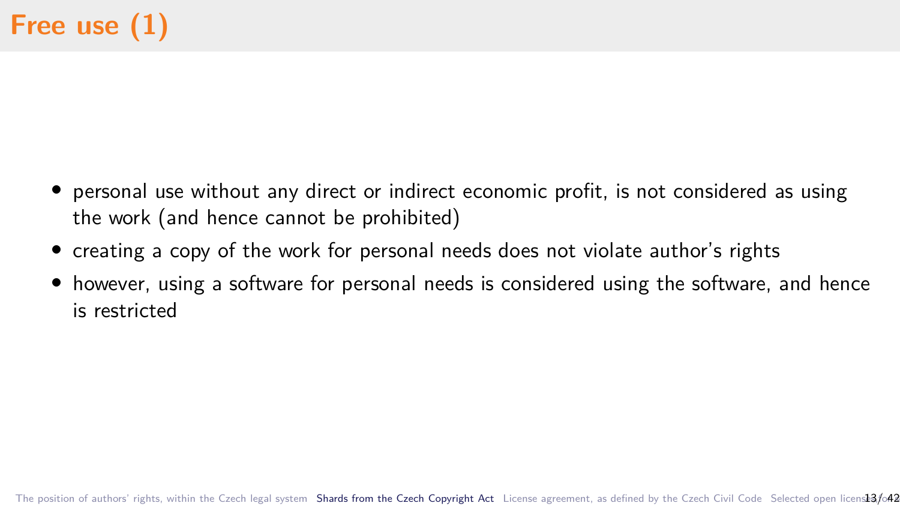- *•* personal use without any direct or indirect economic profit, is not considered as using the work (and hence cannot be prohibited)
- *•* creating a copy of the work for personal needs does not violate author's rights
- however, using a software for personal needs is considered using the software, and hence is restricted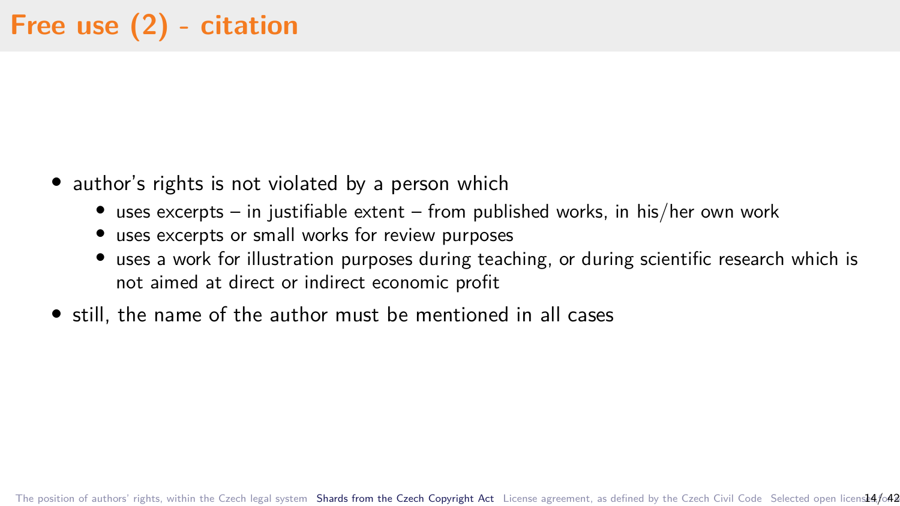- author's rights is not violated by a person which
	- *•* uses excerpts in justifiable extent from published works, in his/her own work
	- *•* uses excerpts or small works for review purposes
	- uses a work for illustration purposes during teaching, or during scientific research which is not aimed at direct or indirect economic profit
- *•* still, the name of the author must be mentioned in all cases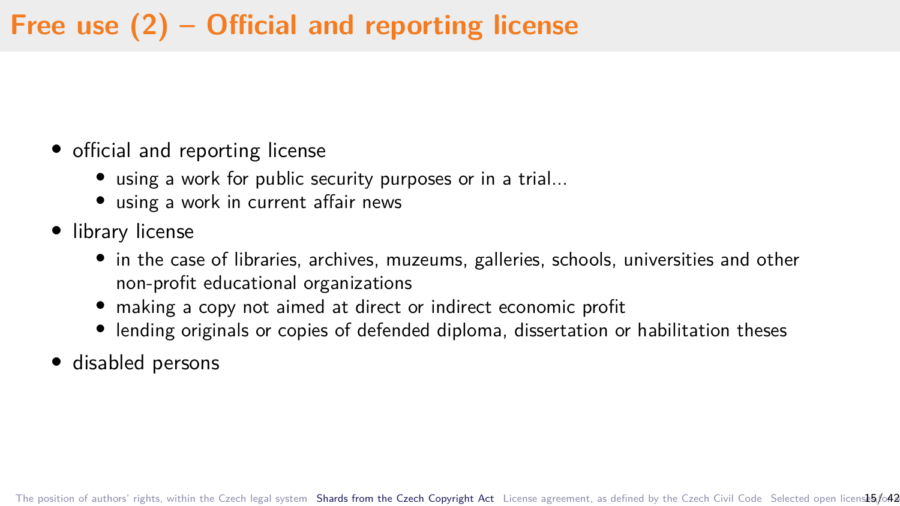# **Free use (2) – Official and reporting license**

- official and reporting license
	- *•* using a work for public security purposes or in a trial...
	- *•* using a work in current affair news
- *•* library license
	- in the case of libraries, archives, muzeums, galleries, schools, universities and other non-profit educational organizations
	- *•* making a copy not aimed at direct or indirect economic profit
	- lending originals or copies of defended diploma, dissertation or habilitation theses
- *•* disabled persons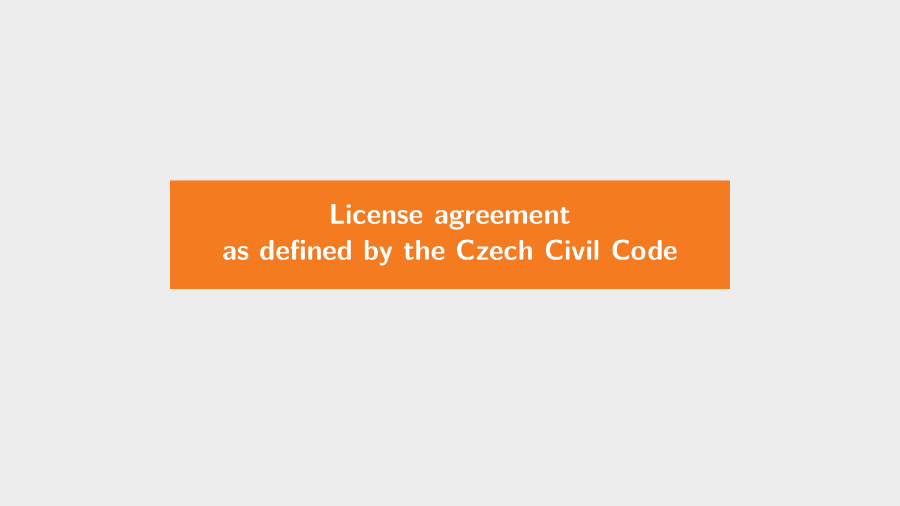# <span id="page-18-0"></span>**[License agreement](#page-18-0) [as defined by the Czech Civil Code](#page-18-0)**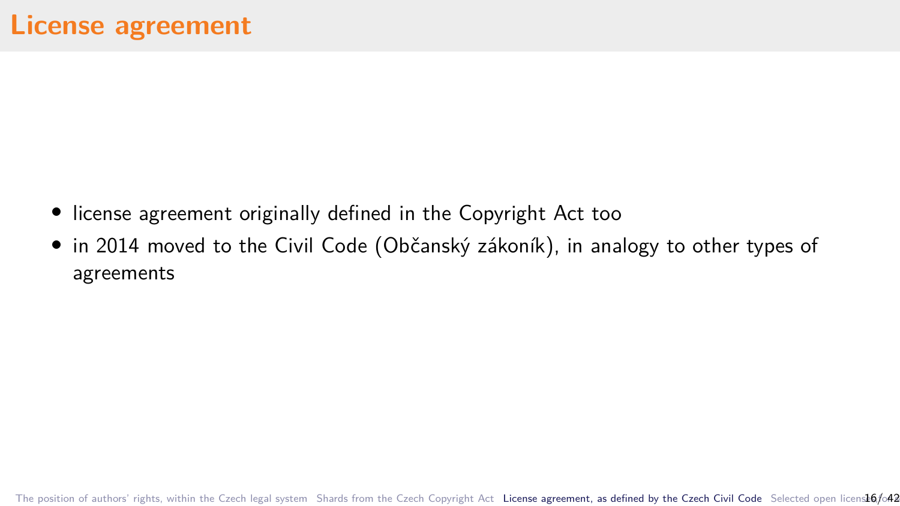- *•* license agreement originally defined in the Copyright Act too
- *•* in 2014 moved to the Civil Code (Občanský zákoník), in analogy to other types of agreements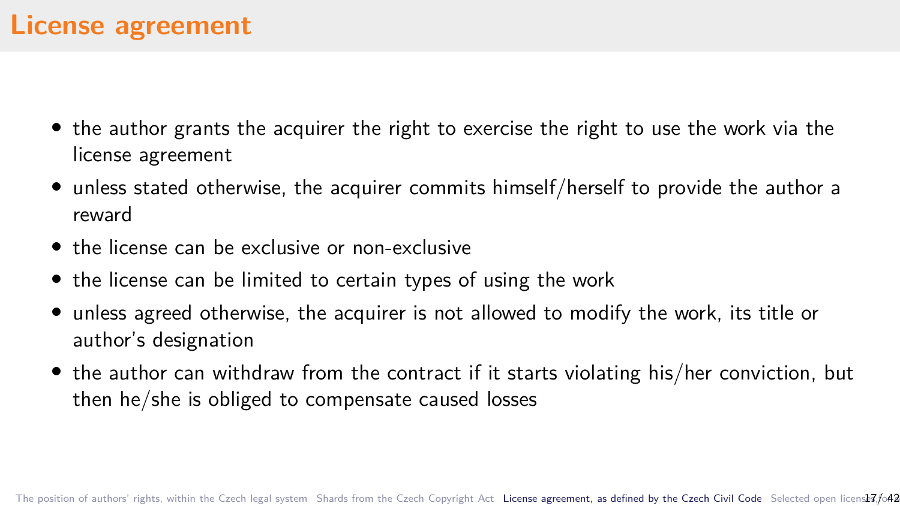- *•* the author grants the acquirer the right to exercise the right to use the work via the license agreement
- *•* unless stated otherwise, the acquirer commits himself/herself to provide the author a reward
- the license can be exclusive or non-exclusive
- *•* the license can be limited to certain types of using the work
- *•* unless agreed otherwise, the acquirer is not allowed to modify the work, its title or author's designation
- the author can withdraw from the contract if it starts violating his/her conviction, but then he/she is obliged to compensate caused losses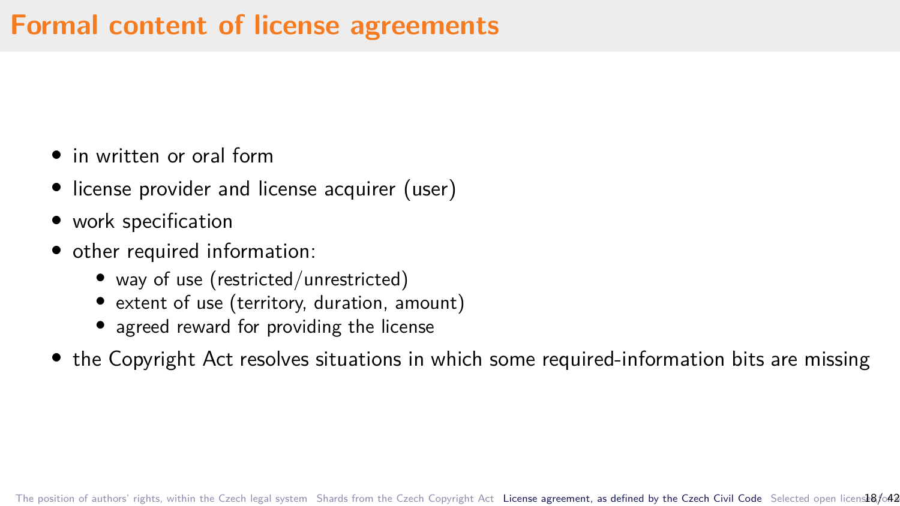## **Formal content of license agreements**

- *•* in written or oral form
- license provider and license acquirer (user)
- *•* work specification
- *•* other required information:
	- way of use (restricted/unrestricted)
	- *•* extent of use (territory, duration, amount)
	- agreed reward for providing the license
- the Copyright Act resolves situations in which some required-information bits are missing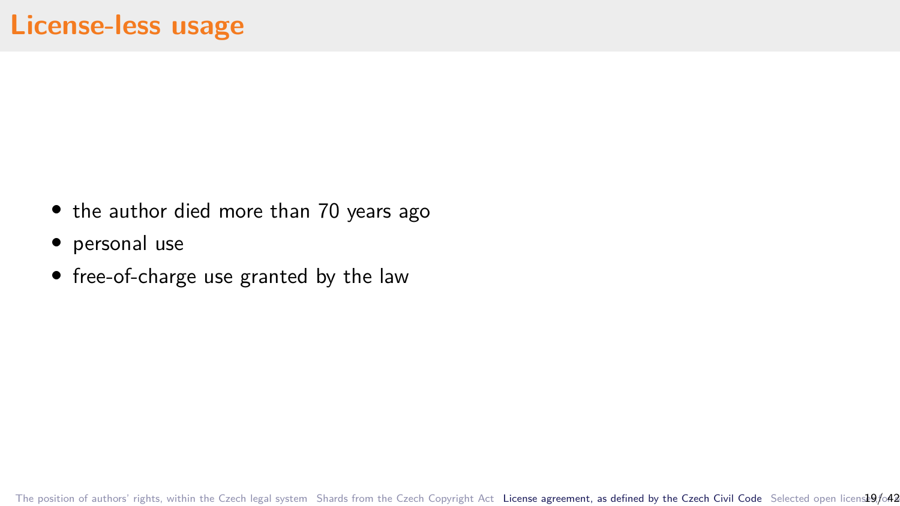- the author died more than 70 years ago
- *•* personal use
- free-of-charge use granted by the law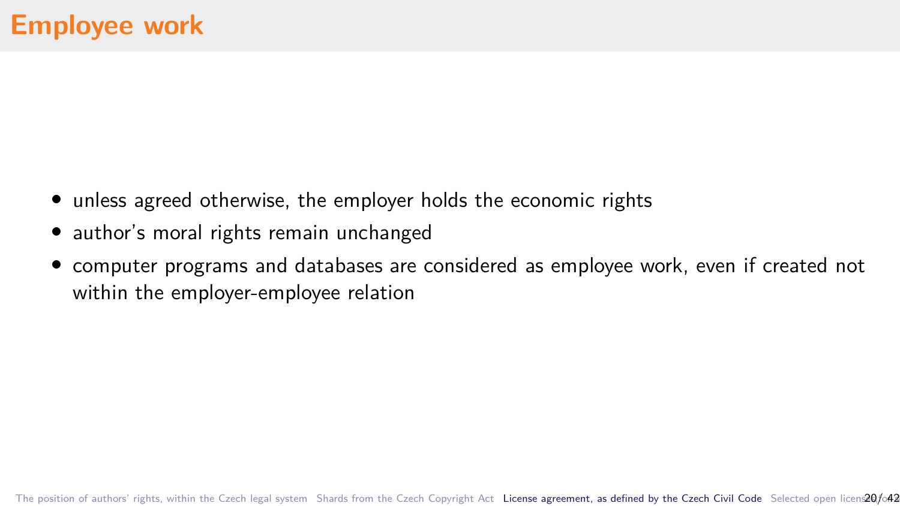- unless agreed otherwise, the employer holds the economic rights
- *•* author's moral rights remain unchanged
- *•* computer programs and databases are considered as employee work, even if created not within the employer-employee relation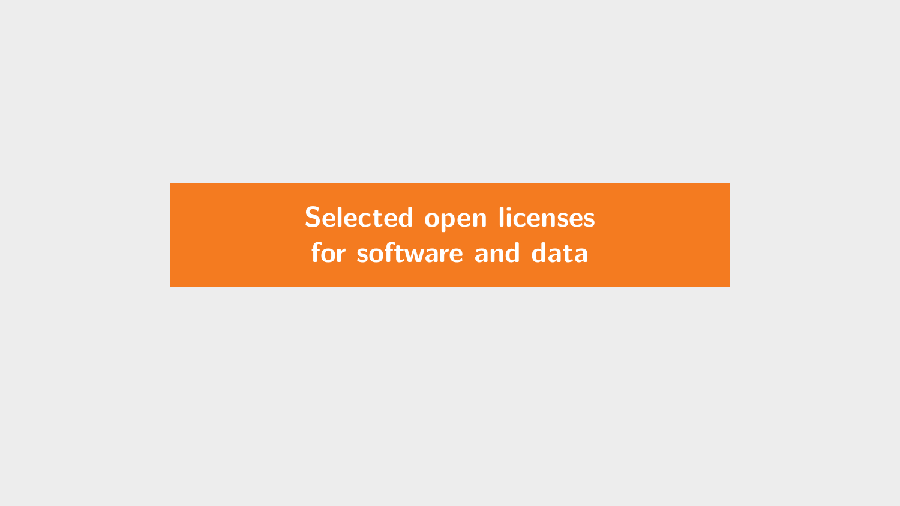<span id="page-24-0"></span>**[Selected open licenses](#page-24-0) [for software and data](#page-24-0)**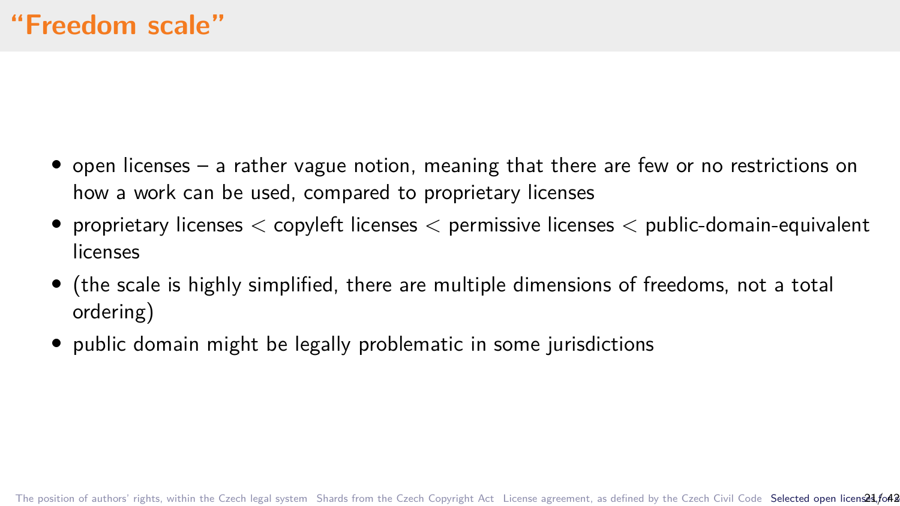- *•* open licenses a rather vague notion, meaning that there are few or no restrictions on how a work can be used, compared to proprietary licenses
- *•* proprietary licenses *<* copyleft licenses *<* permissive licenses *<* public-domain-equivalent licenses
- *•* (the scale is highly simplified, there are multiple dimensions of freedoms, not a total ordering)
- public domain might be legally problematic in some jurisdictions

[The position of authors' rights, within the Czech legal system](#page-3-0) [Shards from the Czech Copyright Act](#page-9-0) [License agreement, as defined by the Czech Civil Code](#page-18-0) Selected open licensed 3/042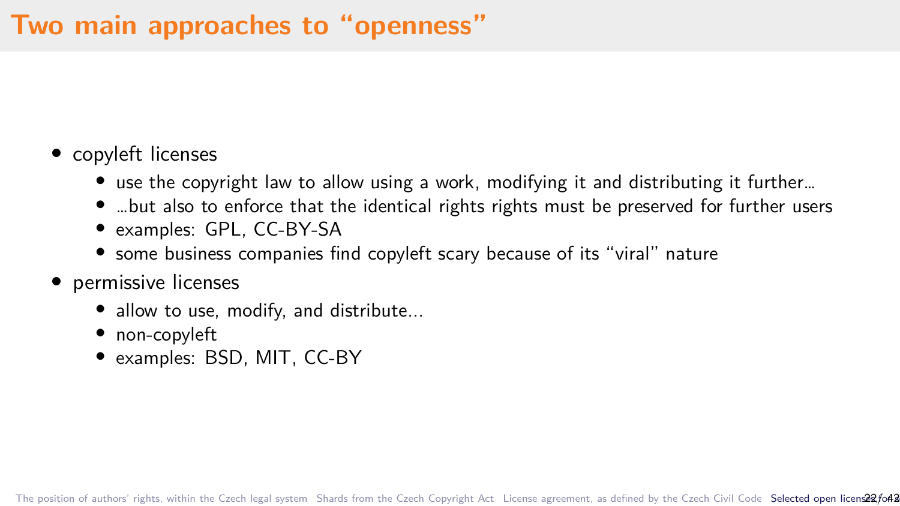# **Two main approaches to "openness"**

#### *•* copyleft licenses

- *•* use the copyright law to allow using a work, modifying it and distributing it further…
- *•* …but also to enforce that the identical rights rights must be preserved for further users
- *•* examples: GPL, CC-BY-SA
- *•* some business companies find copyleft scary because of its "viral" nature
- *•* permissive licenses
	- allow to use, modify, and distribute...
	- *•* non-copyleft
	- *•* examples: BSD, MIT, CC-BY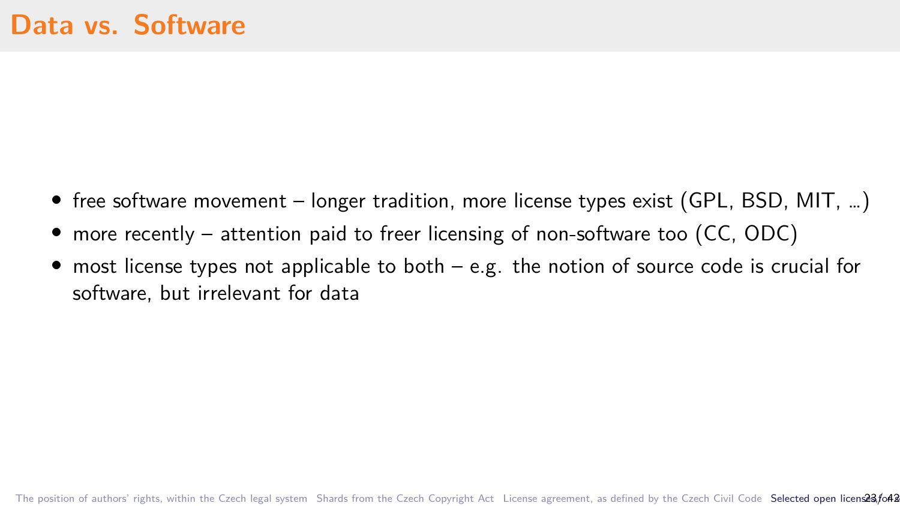- free software movement longer tradition, more license types exist (GPL, BSD, MIT, ...)
- *•* more recently attention paid to freer licensing of non-software too (CC, ODC)
- most license types not applicable to both e.g. the notion of source code is crucial for software, but irrelevant for data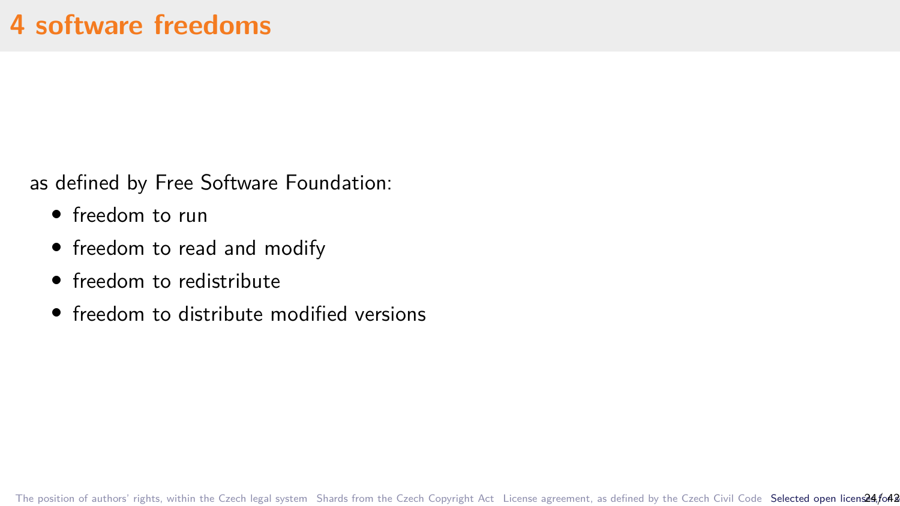as defined by Free Software Foundation:

- *•* freedom to run
- *•* freedom to read and modify
- *•* freedom to redistribute
- freedom to distribute modified versions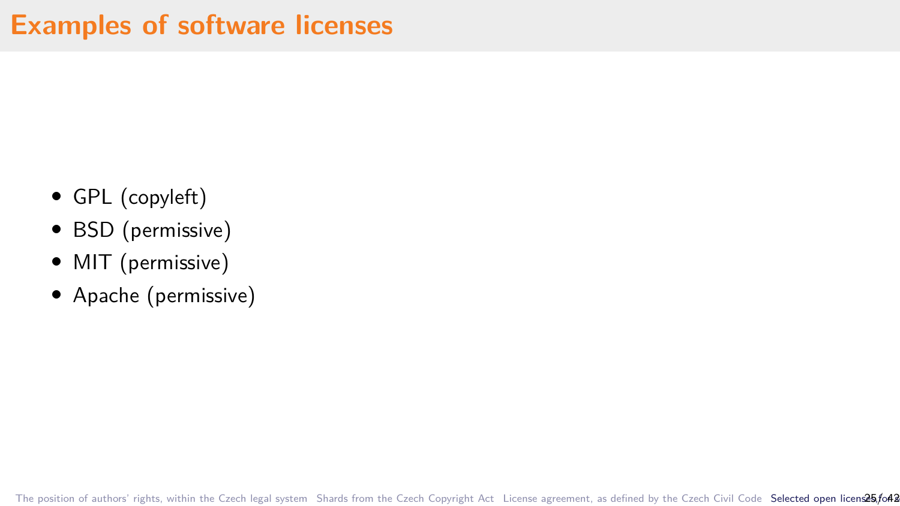- *•* GPL (copyleft)
- *•* BSD (permissive)
- *•* MIT (permissive)
- *•* Apache (permissive)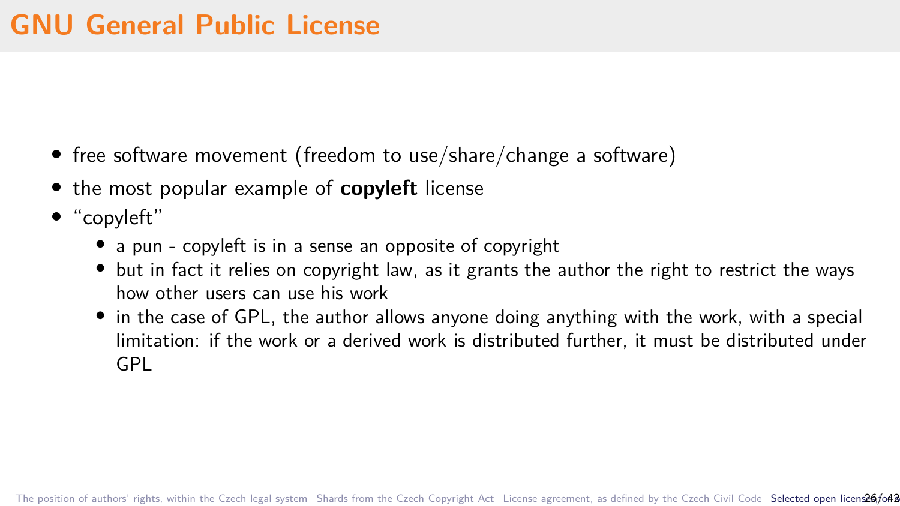- free software movement (freedom to use/share/change a software)
- *•* the most popular example of **copyleft** license
- *•* "copyleft"
	- *•* a pun copyleft is in a sense an opposite of copyright
	- *•* but in fact it relies on copyright law, as it grants the author the right to restrict the ways how other users can use his work
	- in the case of GPL, the author allows anyone doing anything with the work, with a special limitation: if the work or a derived work is distributed further, it must be distributed under GPL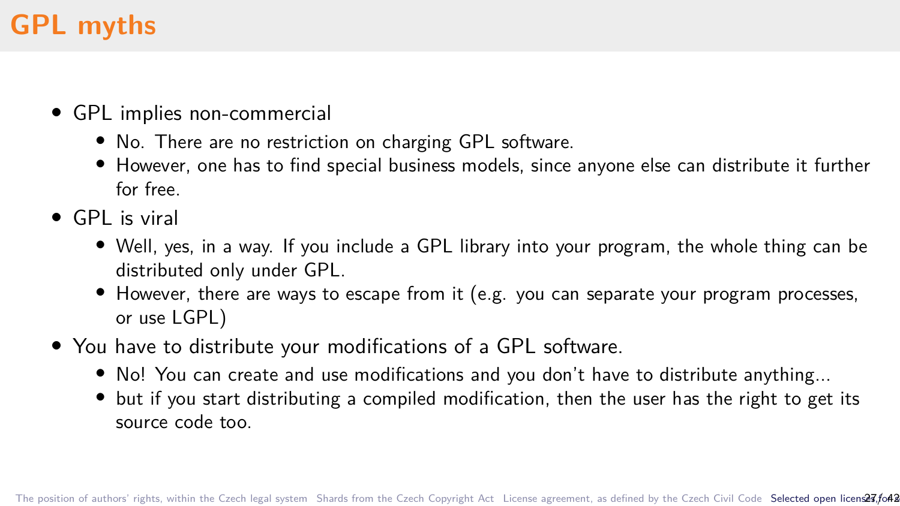# **GPL myths**

- *•* GPL implies non-commercial
	- *•* No. There are no restriction on charging GPL software.
	- However, one has to find special business models, since anyone else can distribute it further for free.
- *•* GPL is viral
	- *•* Well, yes, in a way. If you include a GPL library into your program, the whole thing can be distributed only under GPL.
	- However, there are ways to escape from it (e.g. you can separate your program processes, or use LGPL)
- *•* You have to distribute your modifications of a GPL software.
	- *•* No! You can create and use modifications and you don't have to distribute anything...
	- but if you start distributing a compiled modification, then the user has the right to get its source code too.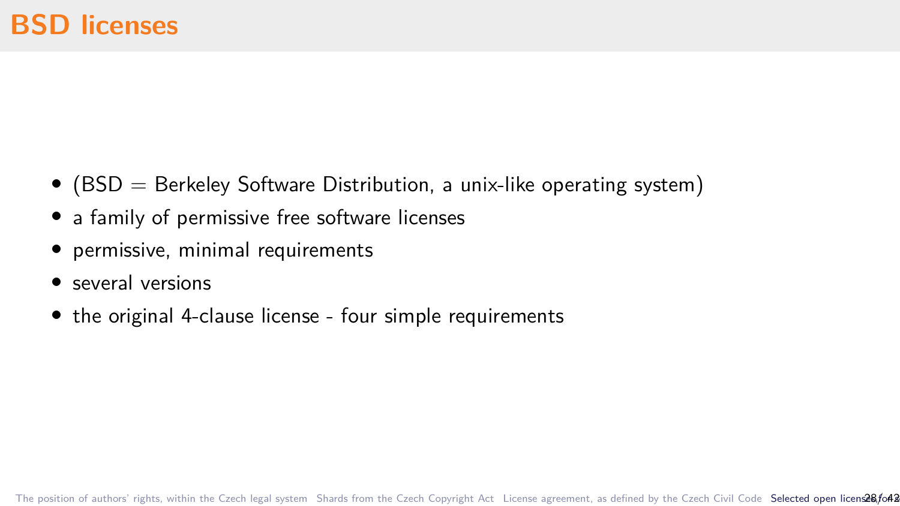- (BSD = Berkeley Software Distribution, a unix-like operating system)
- a family of permissive free software licenses
- *•* permissive, minimal requirements
- *•* several versions
- *•* the original 4-clause license four simple requirements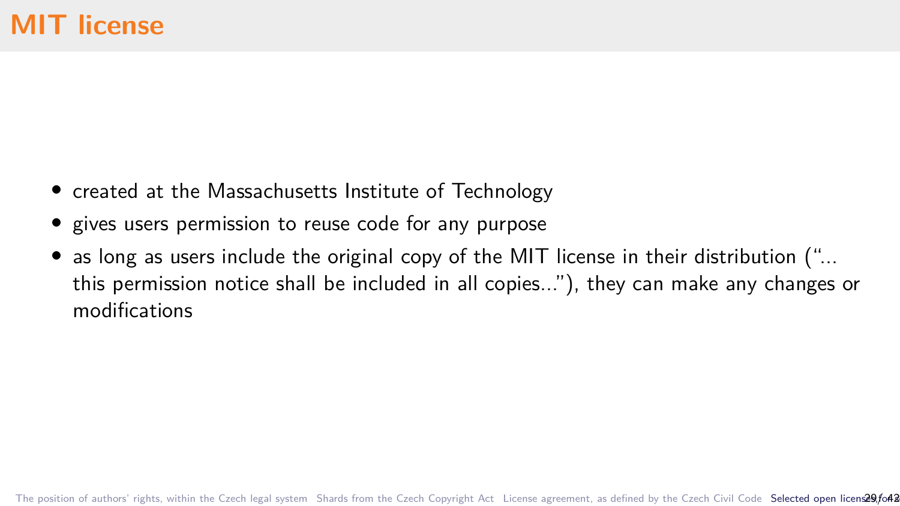- *•* created at the Massachusetts Institute of Technology
- *•* gives users permission to reuse code for any purpose
- as long as users include the original copy of the MIT license in their distribution ("... this permission notice shall be included in all copies..."), they can make any changes or modifications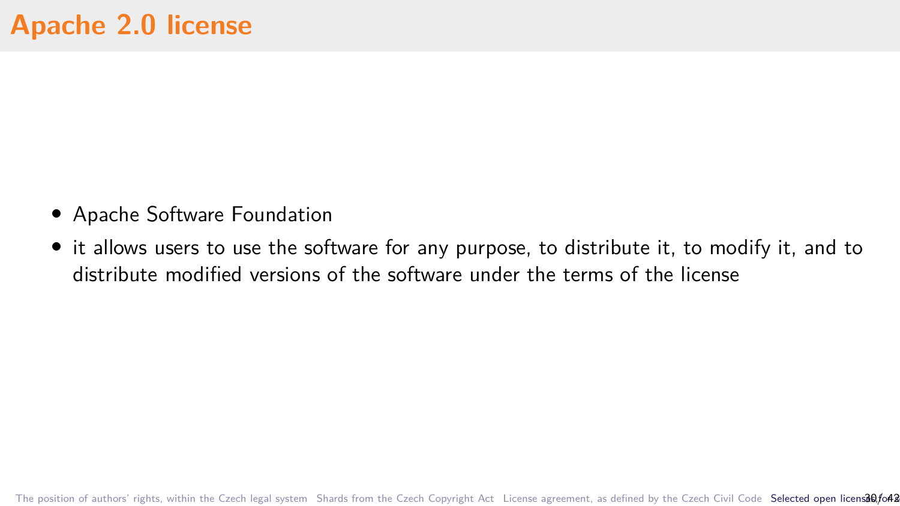- *•* Apache Software Foundation
- *•* it allows users to use the software for any purpose, to distribute it, to modify it, and to distribute modified versions of the software under the terms of the license

[The position of authors' rights, within the Czech legal system](#page-3-0) [Shards from the Czech Copyright Act](#page-9-0) [License agreement, as defined by the Czech Civil Code](#page-18-0) Selected open license agreement, as defined by the Czech Civil Code S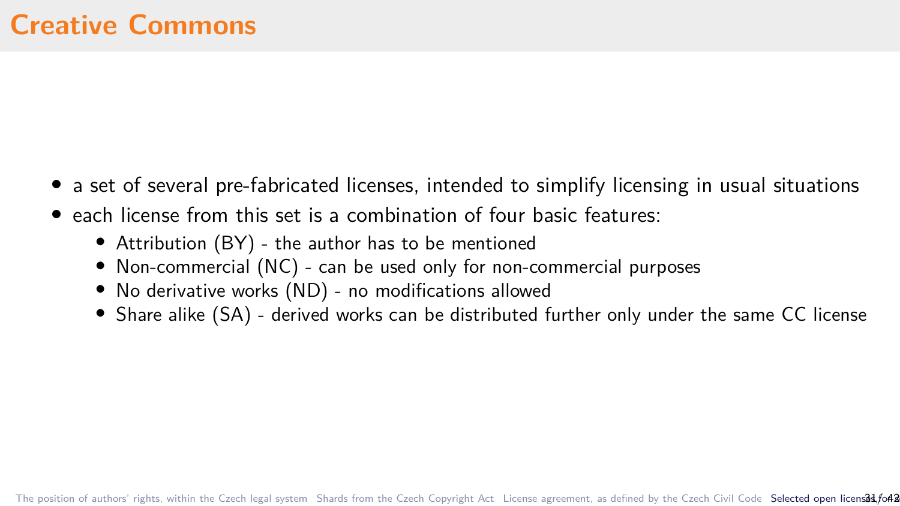- a set of several pre-fabricated licenses, intended to simplify licensing in usual situations
- *•* each license from this set is a combination of four basic features:
	- *•* Attribution (BY) the author has to be mentioned
	- *•* Non-commercial (NC) can be used only for non-commercial purposes
	- *•* No derivative works (ND) no modifications allowed
	- Share alike (SA) derived works can be distributed further only under the same CC license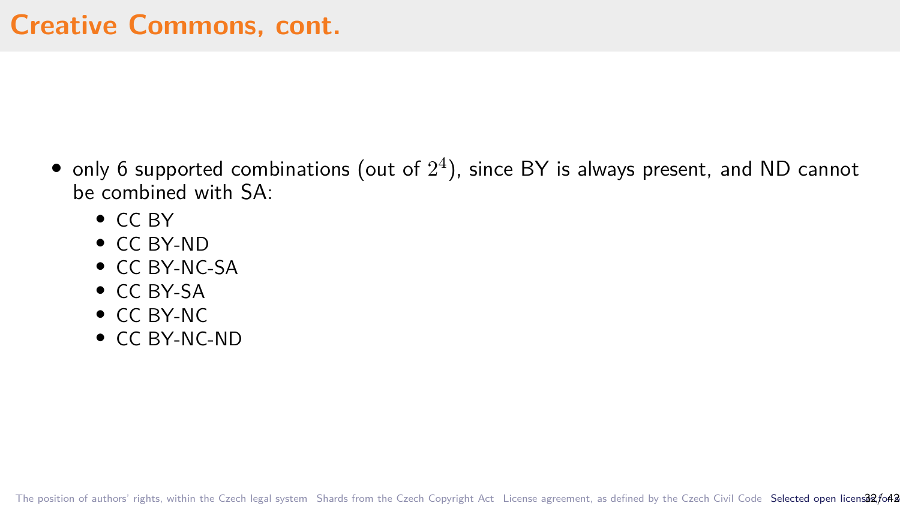- only 6 supported combinations (out of  $2^4$ ), since BY is always present, and ND cannot be combined with SA:
	- *•* CC BY
	- *•* CC BY-ND
	- *•* CC BY-NC-SA
	- *•* CC BY-SA
	- *•* CC BY-NC
	- *•* CC BY-NC-ND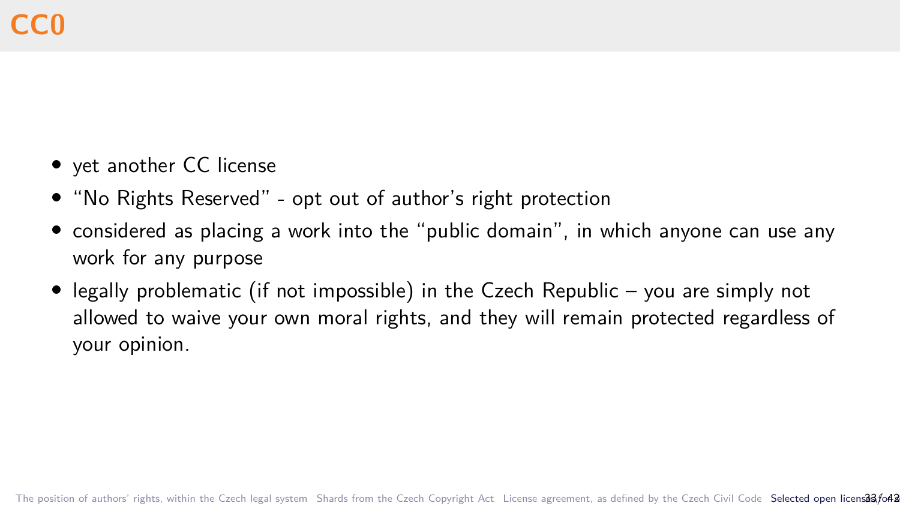- *•* yet another CC license
- *•* "No Rights Reserved" opt out of author's right protection
- *•* considered as placing a work into the "public domain", in which anyone can use any work for any purpose
- *•* legally problematic (if not impossible) in the Czech Republic you are simply not allowed to waive your own moral rights, and they will remain protected regardless of your opinion.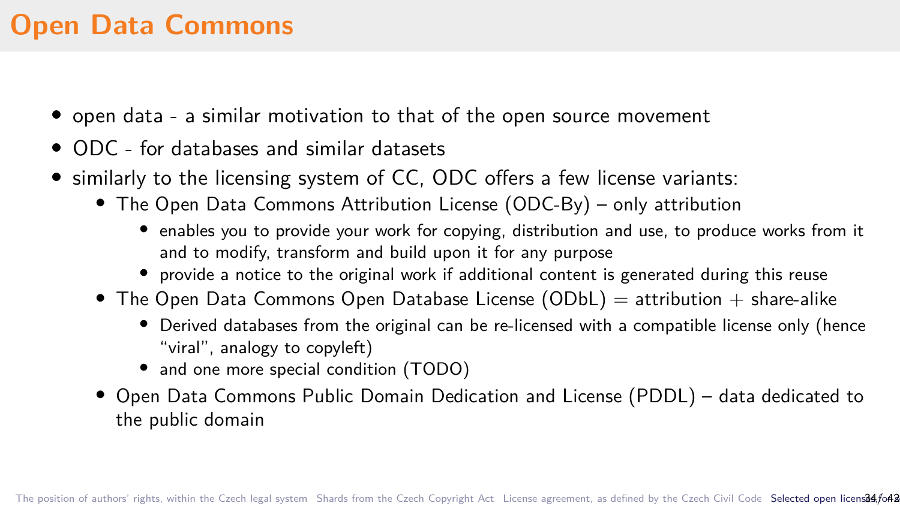# **Open Data Commons**

- *•* open data a similar motivation to that of the open source movement
- *•* ODC for databases and similar datasets
- *•* similarly to the licensing system of CC, ODC offers a few license variants:
	- *•* The Open Data Commons Attribution License (ODC-By) only attribution
		- enables you to provide your work for copying, distribution and use, to produce works from it and to modify, transform and build upon it for any purpose
		- provide a notice to the original work if additional content is generated during this reuse
	- The Open Data Commons Open Database License (ODbL) = attribution + share-alike
		- Derived databases from the original can be re-licensed with a compatible license only (hence "viral", analogy to copyleft)
		- and one more special condition (TODO)
	- *•* Open Data Commons Public Domain Dedication and License (PDDL) data dedicated to the public domain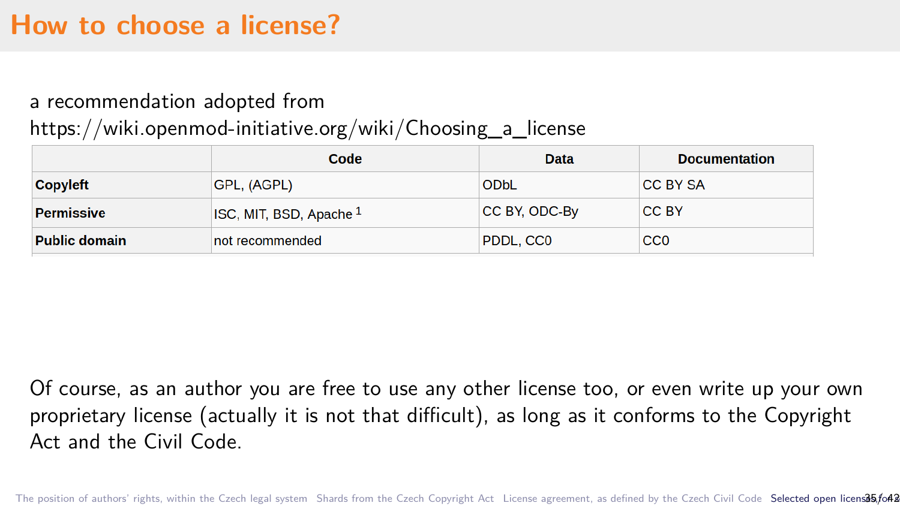### **How to choose a license?**

#### a recommendation adopted from

#### https://wiki.openmod-initiative.org/wiki/Choosing\_a\_license

|                      | Code                               | Data          | <b>Documentation</b> |
|----------------------|------------------------------------|---------------|----------------------|
| Copyleft             | GPL, (AGPL)                        | ODbL          | <b>CC BY SA</b>      |
| <b>Permissive</b>    | ISC, MIT, BSD, Apache <sup>1</sup> | CC BY, ODC-By | CC BY                |
| <b>Public domain</b> | not recommended                    | PDDL, CC0     | CC <sub>0</sub>      |

Of course, as an author you are free to use any other license too, or even write up your own proprietary license (actually it is not that difficult), as long as it conforms to the Copyright Act and the Civil Code.

[The position of authors' rights, within the Czech legal system](#page-3-0) [Shards from the Czech Copyright Act](#page-9-0) [License agreement, as defined by the Czech Civil Code](#page-18-0) Selected open licensa55/042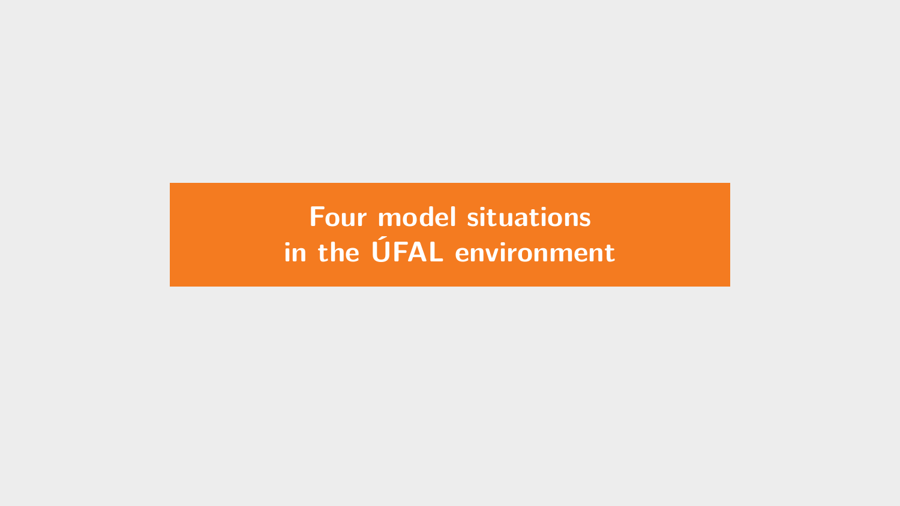<span id="page-40-0"></span>**[Four model situations](#page-40-0) [in the ÚFAL environment](#page-40-0)**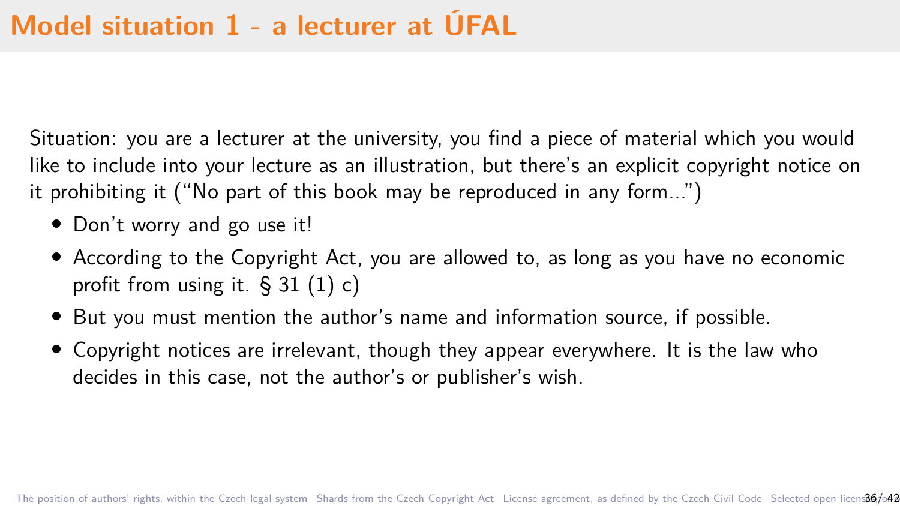Situation: you are a lecturer at the university, you find a piece of material which you would like to include into your lecture as an illustration, but there's an explicit copyright notice on it prohibiting it ("No part of this book may be reproduced in any form...")

- Don't worry and go use it!
- *•* According to the Copyright Act, you are allowed to, as long as you have no economic profit from using it. § 31 (1) c)
- *•* But you must mention the author's name and information source, if possible.
- *•* Copyright notices are irrelevant, though they appear everywhere. It is the law who decides in this case, not the author's or publisher's wish.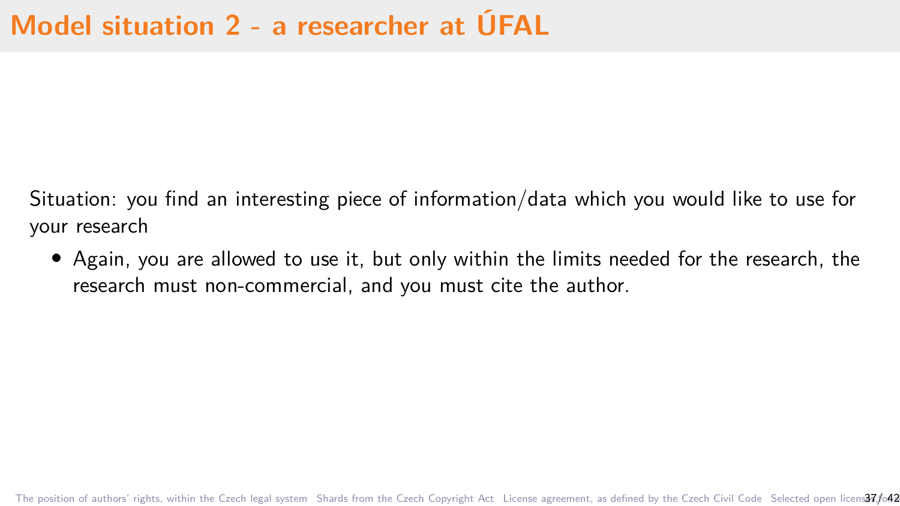Situation: you find an interesting piece of information/data which you would like to use for your research

*•* Again, you are allowed to use it, but only within the limits needed for the research, the research must non-commercial, and you must cite the author.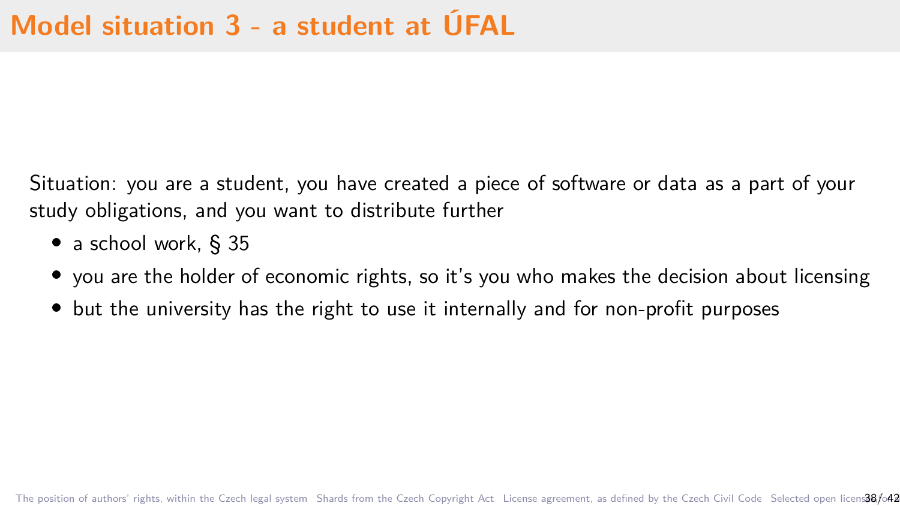Situation: you are a student, you have created a piece of software or data as a part of your study obligations, and you want to distribute further

- *•* a school work, § 35
- you are the holder of economic rights, so it's you who makes the decision about licensing
- but the university has the right to use it internally and for non-profit purposes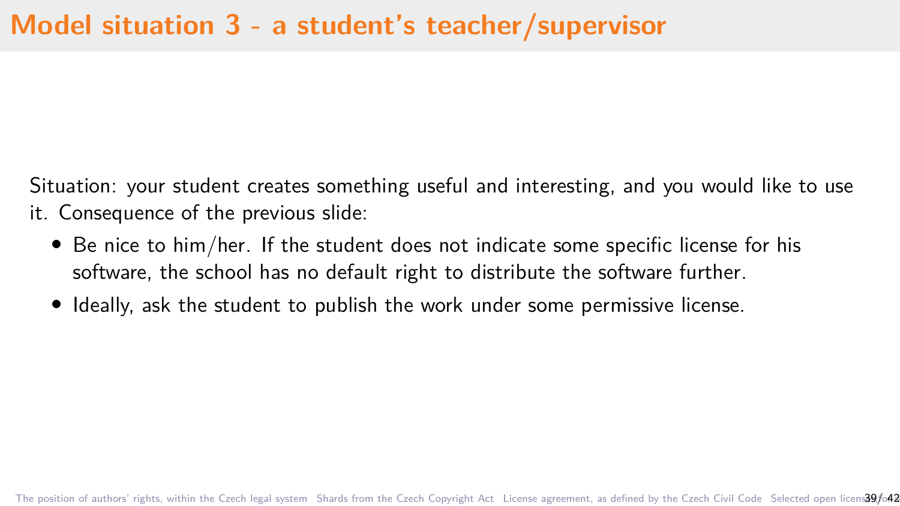Situation: your student creates something useful and interesting, and you would like to use it. Consequence of the previous slide:

- *•* Be nice to him/her. If the student does not indicate some specific license for his software, the school has no default right to distribute the software further.
- Ideally, ask the student to publish the work under some permissive license.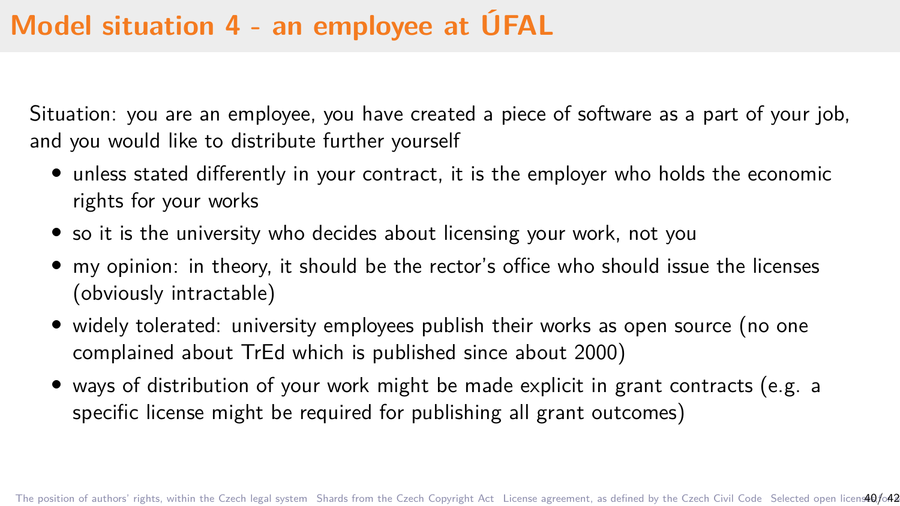# **Model situation 4 - an employee at ÚFAL**

Situation: you are an employee, you have created a piece of software as a part of your job, and you would like to distribute further yourself

- *•* unless stated differently in your contract, it is the employer who holds the economic rights for your works
- so it is the university who decides about licensing your work, not you
- *•* my opinion: in theory, it should be the rector's office who should issue the licenses (obviously intractable)
- widely tolerated: university employees publish their works as open source (no one complained about TrEd which is published since about 2000)
- *•* ways of distribution of your work might be made explicit in grant contracts (e.g. a specific license might be required for publishing all grant outcomes)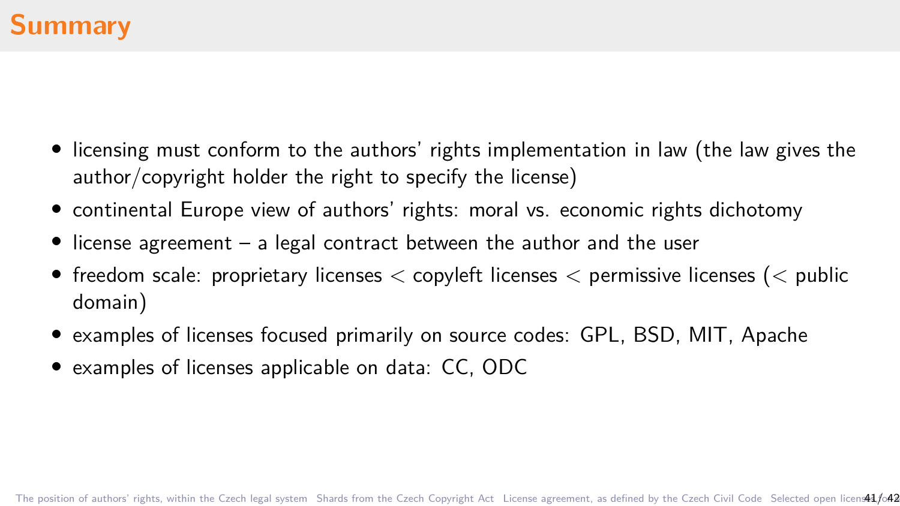- *•* licensing must conform to the authors' rights implementation in law (the law gives the author/copyright holder the right to specify the license)
- *•* continental Europe view of authors' rights: moral vs. economic rights dichotomy
- *•* license agreement a legal contract between the author and the user
- *•* freedom scale: proprietary licenses *<* copyleft licenses *<* permissive licenses (*<* public domain)
- *•* examples of licenses focused primarily on source codes: GPL, BSD, MIT, Apache
- *•* examples of licenses applicable on data: CC, ODC